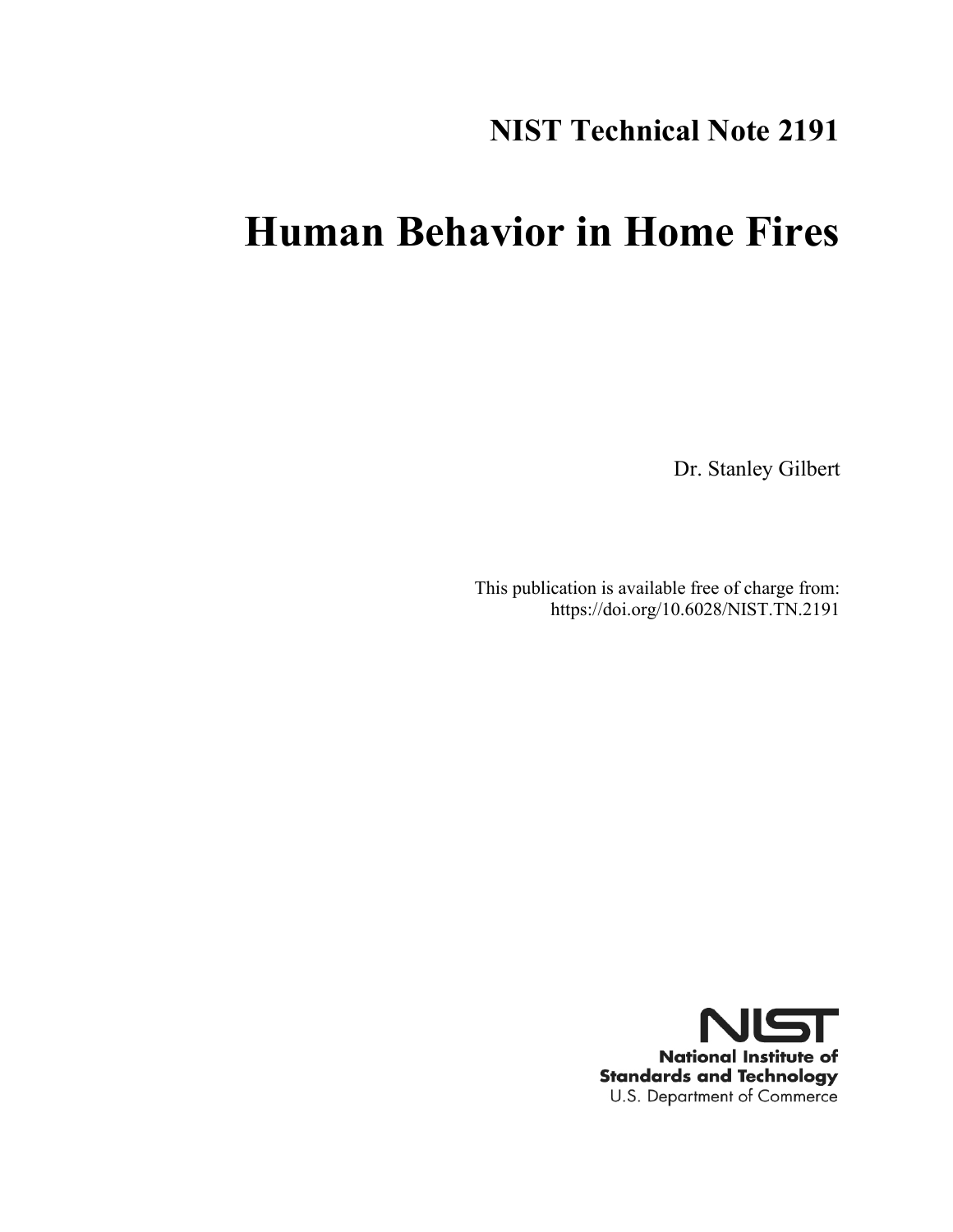## **NIST Technical Note 2191**

## **Human Behavior in Home Fires**

Dr. Stanley Gilbert

This publication is available free of charge from: https://doi.org/10.6028/NIST.TN.2191

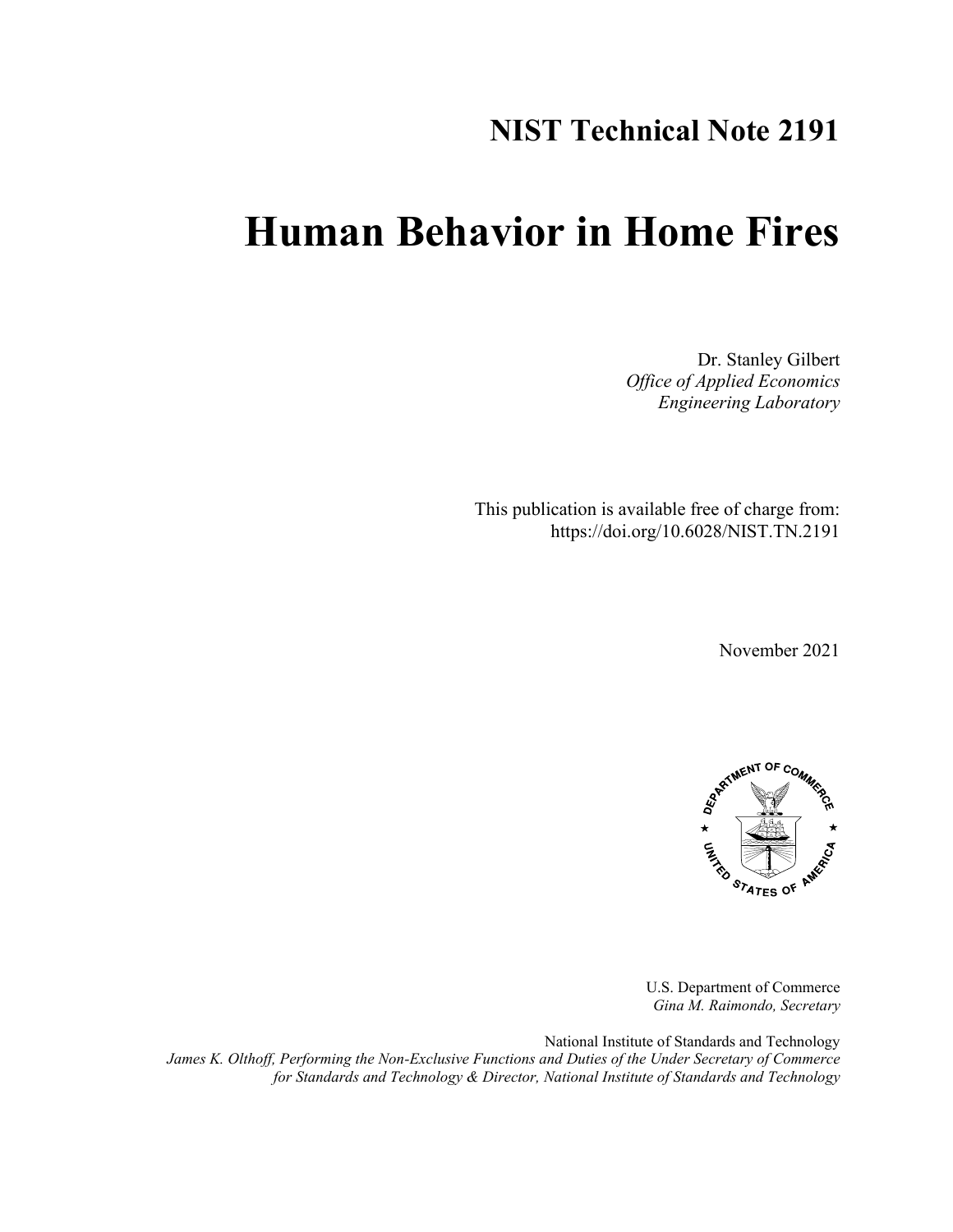## **NIST Technical Note 2191**

## **Human Behavior in Home Fires**

Dr. Stanley Gilbert *Office of Applied Economics Engineering Laboratory*

This publication is available free of charge from: https://doi.org/10.6028/NIST.TN.2191

November 2021



U.S. Department of Commerce *Gina M. Raimondo, Secretary*

National Institute of Standards and Technology *James K. Olthoff, Performing the Non-Exclusive Functions and Duties of the Under Secretary of Commerce for Standards and Technology & Director, National Institute of Standards and Technology*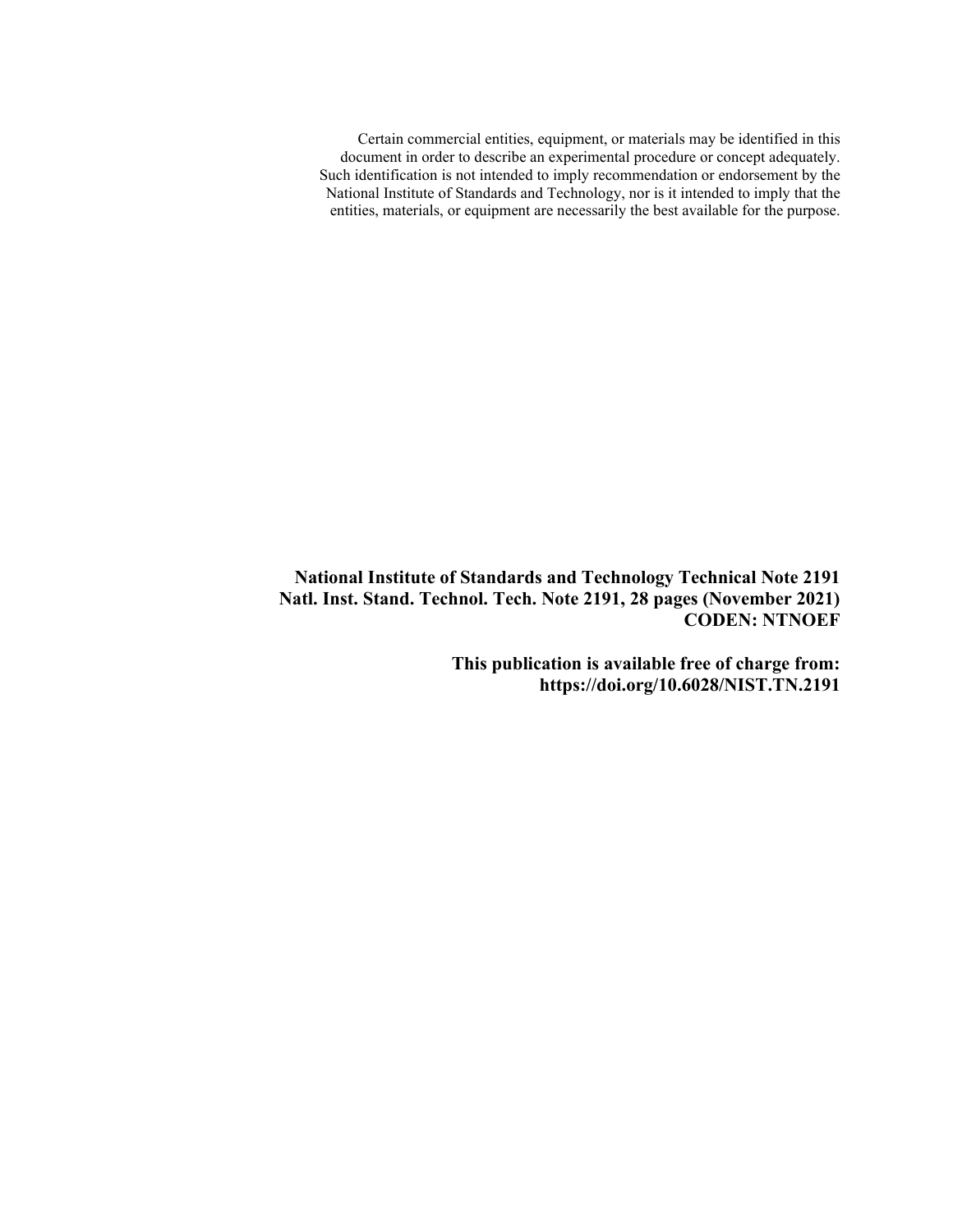Certain commercial entities, equipment, or materials may be identified in this document in order to describe an experimental procedure or concept adequately. Such identification is not intended to imply recommendation or endorsement by the National Institute of Standards and Technology, nor is it intended to imply that the entities, materials, or equipment are necessarily the best available for the purpose.

**National Institute of Standards and Technology Technical Note 2191 Natl. Inst. Stand. Technol. Tech. Note 2191, 28 pages (November 2021) CODEN: NTNOEF**

> **This publication is available free of charge from: https://doi.org/10.6028/NIST.TN.2191**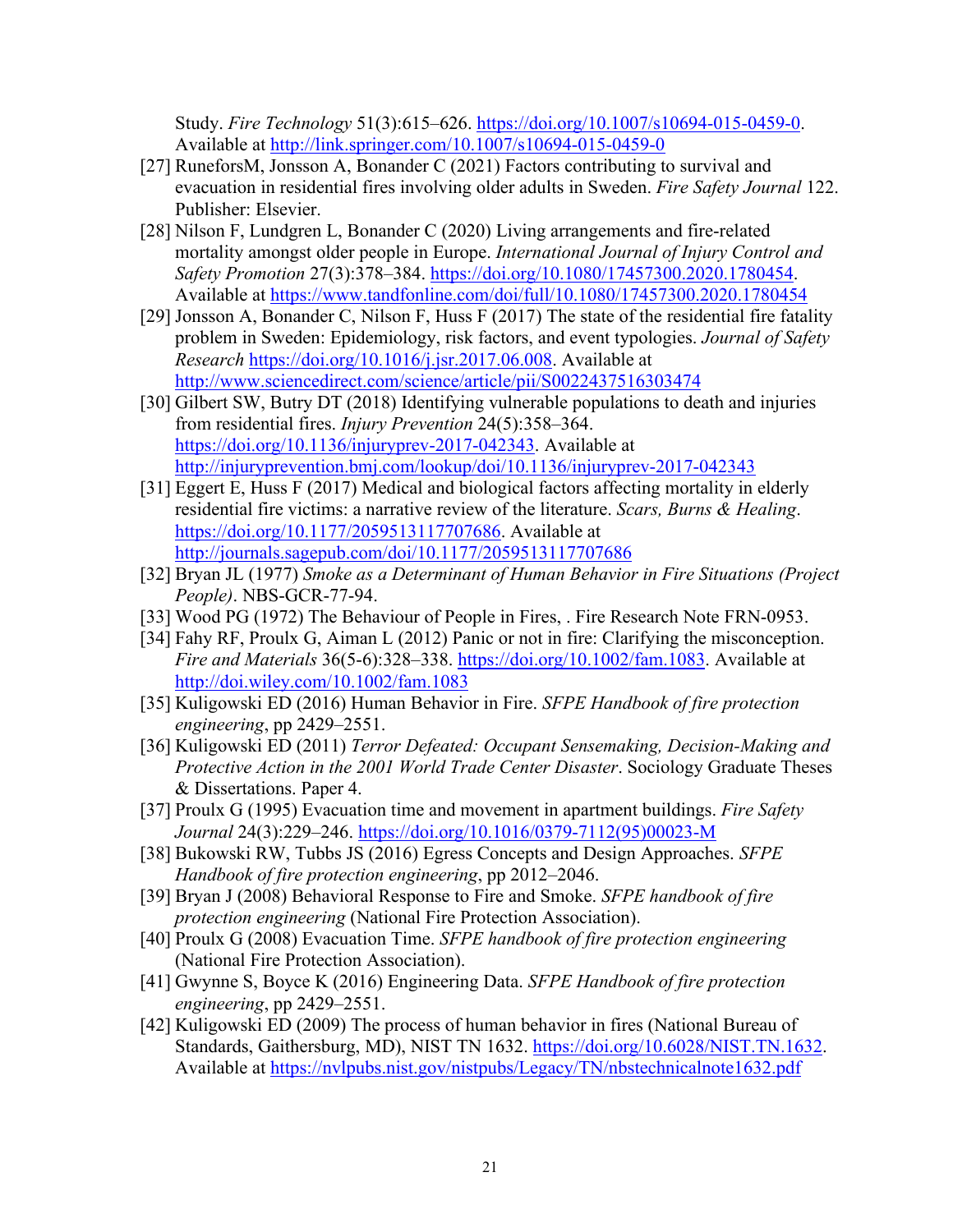Study. *Fire Technology* 51(3):615–626. [https://doi.org/10.1007/s10694-015-0459-0.](https://doi.org/10.1007/s10694-015-0459-0) Available at<http://link.springer.com/10.1007/s10694-015-0459-0>

- [27] RuneforsM, Jonsson A, Bonander C (2021) Factors contributing to survival and evacuation in residential fires involving older adults in Sweden. *Fire Safety Journal* 122. Publisher: Elsevier.
- [28] Nilson F, Lundgren L, Bonander C (2020) Living arrangements and fire-related mortality amongst older people in Europe. *International Journal of Injury Control and Safety Promotion* 27(3):378–384. [https://doi.org/10.1080/17457300.2020.1780454.](https://doi.org/10.1080/17457300.2020.1780454) Available at<https://www.tandfonline.com/doi/full/10.1080/17457300.2020.1780454>
- [29] Jonsson A, Bonander C, Nilson F, Huss F (2017) The state of the residential fire fatality problem in Sweden: Epidemiology, risk factors, and event typologies. *Journal of Safety Research* [https://doi.org/10.1016/j.jsr.2017.06.008.](https://doi.org/10.1016/j.jsr.2017.06.008) Available at <http://www.sciencedirect.com/science/article/pii/S0022437516303474>
- [30] Gilbert SW, Butry DT (2018) Identifying vulnerable populations to death and injuries from residential fires. *Injury Prevention* 24(5):358–364. [https://doi.org/10.1136/injuryprev-2017-042343.](https://doi.org/10.1136/injuryprev-2017-042343) Available at <http://injuryprevention.bmj.com/lookup/doi/10.1136/injuryprev-2017-042343>
- [31] Eggert E, Huss F (2017) Medical and biological factors affecting mortality in elderly residential fire victims: a narrative review of the literature. *Scars, Burns & Healing*. [https://doi.org/10.1177/2059513117707686.](https://doi.org/10.1177/2059513117707686) Available at <http://journals.sagepub.com/doi/10.1177/2059513117707686>
- [32] Bryan JL (1977) *Smoke as a Determinant of Human Behavior in Fire Situations (Project People)*. NBS-GCR-77-94.
- [33] Wood PG (1972) The Behaviour of People in Fires, . Fire Research Note FRN-0953.
- [34] Fahy RF, Proulx G, Aiman L (2012) Panic or not in fire: Clarifying the misconception. *Fire and Materials* 36(5-6):328–338. [https://doi.org/10.1002/fam.1083.](https://doi.org/10.1002/fam.1083) Available at <http://doi.wiley.com/10.1002/fam.1083>
- [35] Kuligowski ED (2016) Human Behavior in Fire. *SFPE Handbook of fire protection engineering*, pp 2429–2551.
- [36] Kuligowski ED (2011) *Terror Defeated: Occupant Sensemaking, Decision-Making and Protective Action in the 2001 World Trade Center Disaster*. Sociology Graduate Theses & Dissertations. Paper 4.
- [37] Proulx G (1995) Evacuation time and movement in apartment buildings. *Fire Safety Journal* 24(3):229–246. [https://doi.org/10.1016/0379-7112\(95\)00023-M](https://doi.org/10.1016/0379-7112(95)00023-M)
- [38] Bukowski RW, Tubbs JS (2016) Egress Concepts and Design Approaches. *SFPE Handbook of fire protection engineering*, pp 2012–2046.
- [39] Bryan J (2008) Behavioral Response to Fire and Smoke. *SFPE handbook of fire protection engineering* (National Fire Protection Association).
- [40] Proulx G (2008) Evacuation Time. *SFPE handbook of fire protection engineering* (National Fire Protection Association).
- [41] Gwynne S, Boyce K (2016) Engineering Data. *SFPE Handbook of fire protection engineering*, pp 2429–2551.
- [42] Kuligowski ED (2009) The process of human behavior in fires (National Bureau of Standards, Gaithersburg, MD), NIST TN 1632. [https://doi.org/10.6028/NIST.TN.1632.](https://doi.org/10.6028/NIST.TN.1632) Available at<https://nvlpubs.nist.gov/nistpubs/Legacy/TN/nbstechnicalnote1632.pdf>

 $\mathcal{L}_\text{max} = \mathcal{L}_\text{max} = \mathcal{L}_\text{max} = \mathcal{L}_\text{max} = \mathcal{L}_\text{max} = \mathcal{L}_\text{max} = \mathcal{L}_\text{max} = \mathcal{L}_\text{max} = \mathcal{L}_\text{max} = \mathcal{L}_\text{max} = \mathcal{L}_\text{max} = \mathcal{L}_\text{max} = \mathcal{L}_\text{max} = \mathcal{L}_\text{max} = \mathcal{L}_\text{max} = \mathcal{L}_\text{max} = \mathcal{L}_\text{max} = \mathcal{L}_\text{max} = \mathcal{$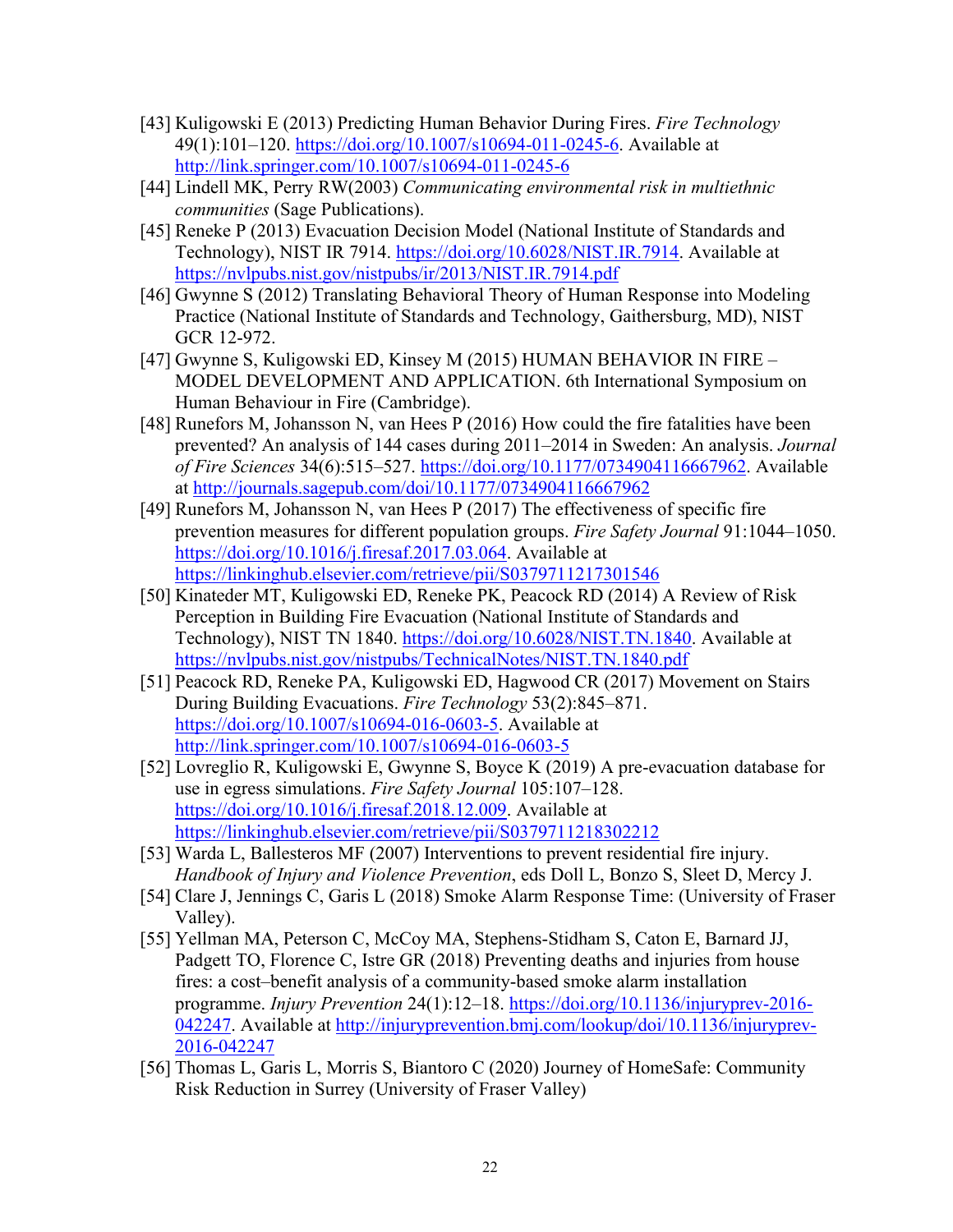- [43] Kuligowski E (2013) Predicting Human Behavior During Fires. *Fire Technology* 49(1):101–120. [https://doi.org/10.1007/s10694-011-0245-6.](https://doi.org/10.1007/s10694-011-0245-6) Available at <http://link.springer.com/10.1007/s10694-011-0245-6>
- [44] Lindell MK, Perry RW(2003) *Communicating environmental risk in multiethnic communities* (Sage Publications).
- [45] Reneke P (2013) Evacuation Decision Model (National Institute of Standards and Technology), NIST IR 7914. [https://doi.org/10.6028/NIST.IR.7914.](https://doi.org/10.6028/NIST.IR.7914) Available at <https://nvlpubs.nist.gov/nistpubs/ir/2013/NIST.IR.7914.pdf>
- [46] Gwynne S (2012) Translating Behavioral Theory of Human Response into Modeling Practice (National Institute of Standards and Technology, Gaithersburg, MD), NIST GCR 12-972.
- [47] Gwynne S, Kuligowski ED, Kinsey M (2015) HUMAN BEHAVIOR IN FIRE MODEL DEVELOPMENT AND APPLICATION. 6th International Symposium on Human Behaviour in Fire (Cambridge).
- [48] Runefors M, Johansson N, van Hees P (2016) How could the fire fatalities have been prevented? An analysis of 144 cases during 2011–2014 in Sweden: An analysis. *Journal of Fire Sciences* 34(6):515–527. [https://doi.org/10.1177/0734904116667962.](https://doi.org/10.1177/0734904116667962) Available at<http://journals.sagepub.com/doi/10.1177/0734904116667962>
- [49] Runefors M, Johansson N, van Hees P (2017) The effectiveness of specific fire prevention measures for different population groups. *Fire Safety Journal* 91:1044–1050. [https://doi.org/10.1016/j.firesaf.2017.03.064.](https://doi.org/10.1016/j.firesaf.2017.03.064) Available at <https://linkinghub.elsevier.com/retrieve/pii/S0379711217301546>
- [50] Kinateder MT, Kuligowski ED, Reneke PK, Peacock RD (2014) A Review of Risk Perception in Building Fire Evacuation (National Institute of Standards and Technology), NIST TN 1840. [https://doi.org/10.6028/NIST.TN.1840.](https://doi.org/10.6028/NIST.TN.1840) Available at <https://nvlpubs.nist.gov/nistpubs/TechnicalNotes/NIST.TN.1840.pdf>
- [51] Peacock RD, Reneke PA, Kuligowski ED, Hagwood CR (2017) Movement on Stairs During Building Evacuations. *Fire Technology* 53(2):845–871. [https://doi.org/10.1007/s10694-016-0603-5.](https://doi.org/10.1007/s10694-016-0603-5) Available at <http://link.springer.com/10.1007/s10694-016-0603-5>
- [52] Lovreglio R, Kuligowski E, Gwynne S, Boyce K (2019) A pre-evacuation database for use in egress simulations. *Fire Safety Journal* 105:107–128. [https://doi.org/10.1016/j.firesaf.2018.12.009.](https://doi.org/10.1016/j.firesaf.2018.12.009) Available at <https://linkinghub.elsevier.com/retrieve/pii/S0379711218302212>
- [53] Warda L, Ballesteros MF (2007) Interventions to prevent residential fire injury. *Handbook of Injury and Violence Prevention*, eds Doll L, Bonzo S, Sleet D, Mercy J.
- [54] Clare J, Jennings C, Garis L (2018) Smoke Alarm Response Time: (University of Fraser Valley).
- [55] Yellman MA, Peterson C, McCoy MA, Stephens-Stidham S, Caton E, Barnard JJ, Padgett TO, Florence C, Istre GR (2018) Preventing deaths and injuries from house fires: a cost–benefit analysis of a community-based smoke alarm installation programme. *Injury Prevention* 24(1):12–18. [https://doi.org/10.1136/injuryprev-2016-](https://doi.org/10.1136/injuryprev-2016-042247) [042247.](https://doi.org/10.1136/injuryprev-2016-042247) Available at [http://injuryprevention.bmj.com/lookup/doi/10.1136/injuryprev-](http://injuryprevention.bmj.com/lookup/doi/10.1136/injuryprev-2016-042247)[2016-042247](http://injuryprevention.bmj.com/lookup/doi/10.1136/injuryprev-2016-042247)
- [56] Thomas L, Garis L, Morris S, Biantoro C (2020) Journey of HomeSafe: Community Risk Reduction in Surrey (University of Fraser Valley)